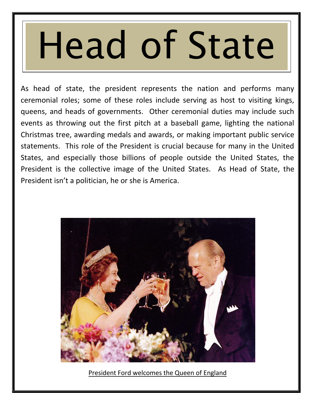# Head of State

As head of state, the president represents the nation and performs many ceremonial roles; some of these roles include serving as host to visiting kings, queens, and heads of governments. Other ceremonial duties may include such events as throwing out the first pitch at a baseball game, lighting the national Christmas tree, awarding medals and awards, or making important public service statements. This role of the President is crucial because for many in the United States, and especially those billions of people outside the United States, the President is the collective image of the United States. As Head of State, the President isn't a politician, he or she is America.



President Ford welcomes the Queen of England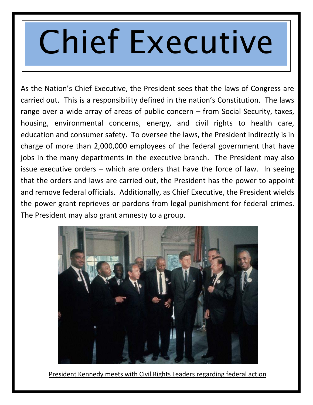## Chief Executive

As the Nation's Chief Executive, the President sees that the laws of Congress are carried out. This is a responsibility defined in the nation's Constitution. The laws range over a wide array of areas of public concern – from Social Security, taxes, housing, environmental concerns, energy, and civil rights to health care, education and consumer safety. To oversee the laws, the President indirectly is in charge of more than 2,000,000 employees of the federal government that have jobs in the many departments in the executive branch. The President may also issue executive orders – which are orders that have the force of law. In seeing that the orders and laws are carried out, the President has the power to appoint and remove federal officials. Additionally, as Chief Executive, the President wields the power grant reprieves or pardons from legal punishment for federal crimes. The President may also grant amnesty to a group.



President Kennedy meets with Civil Rights Leaders regarding federal action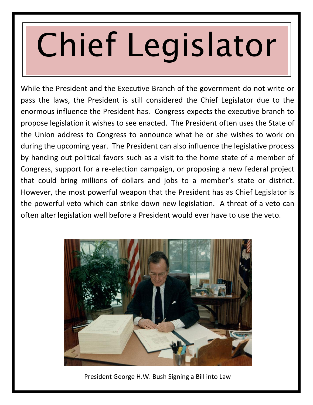# Chief Legislator

While the President and the Executive Branch of the government do not write or pass the laws, the President is still considered the Chief Legislator due to the enormous influence the President has. Congress expects the executive branch to propose legislation it wishes to see enacted. The President often uses the State of the Union address to Congress to announce what he or she wishes to work on during the upcoming year. The President can also influence the legislative process by handing out political favors such as a visit to the home state of a member of Congress, support for a re-election campaign, or proposing a new federal project that could bring millions of dollars and jobs to a member's state or district. However, the most powerful weapon that the President has as Chief Legislator is the powerful veto which can strike down new legislation. A threat of a veto can often alter legislation well before a President would ever have to use the veto.



President George H.W. Bush Signing a Bill into Law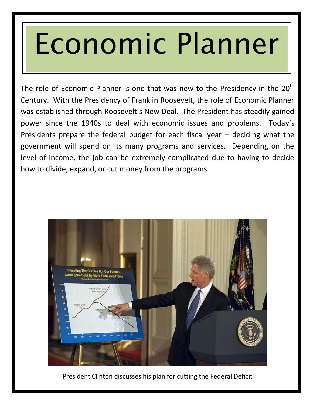### Economic Planner

The role of Economic Planner is one that was new to the Presidency in the  $20<sup>th</sup>$ Century. With the Presidency of Franklin Roosevelt, the role of Economic Planner was established through Roosevelt's New Deal. The President has steadily gained power since the 1940s to deal with economic issues and problems. Today's Presidents prepare the federal budget for each fiscal year – deciding what the government will spend on its many programs and services. Depending on the level of income, the job can be extremely complicated due to having to decide how to divide, expand, or cut money from the programs.



President Clinton discusses his plan for cutting the Federal Deficit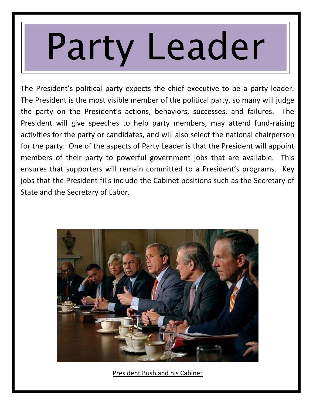# Party Leader

The President's political party expects the chief executive to be a party leader. The President is the most visible member of the political party, so many will judge the party on the President's actions, behaviors, successes, and failures. The President will give speeches to help party members, may attend fund-raising activities for the party or candidates, and will also select the national chairperson for the party. One of the aspects of Party Leader is that the President will appoint members of their party to powerful government jobs that are available. This ensures that supporters will remain committed to a President's programs. Key jobs that the President fills include the Cabinet positions such as the Secretary of State and the Secretary of Labor.



President Bush and his Cabinet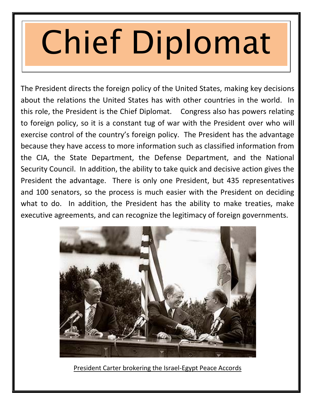# Chief Diplomat

The President directs the foreign policy of the United States, making key decisions about the relations the United States has with other countries in the world. In this role, the President is the Chief Diplomat. Congress also has powers relating to foreign policy, so it is a constant tug of war with the President over who will exercise control of the country's foreign policy. The President has the advantage because they have access to more information such as classified information from the CIA, the State Department, the Defense Department, and the National Security Council. In addition, the ability to take quick and decisive action gives the President the advantage. There is only one President, but 435 representatives and 100 senators, so the process is much easier with the President on deciding what to do. In addition, the President has the ability to make treaties, make executive agreements, and can recognize the legitimacy of foreign governments.



President Carter brokering the Israel-Egypt Peace Accords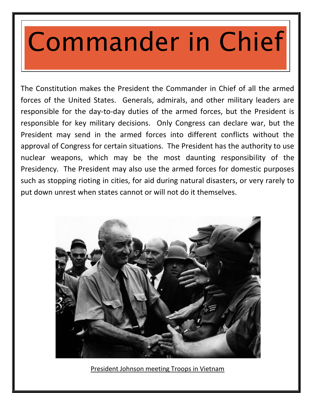#### Commander in Chief

The Constitution makes the President the Commander in Chief of all the armed forces of the United States. Generals, admirals, and other military leaders are responsible for the day-to-day duties of the armed forces, but the President is responsible for key military decisions. Only Congress can declare war, but the President may send in the armed forces into different conflicts without the approval of Congress for certain situations. The President has the authority to use nuclear weapons, which may be the most daunting responsibility of the Presidency. The President may also use the armed forces for domestic purposes such as stopping rioting in cities, for aid during natural disasters, or very rarely to put down unrest when states cannot or will not do it themselves.



President Johnson meeting Troops in Vietnam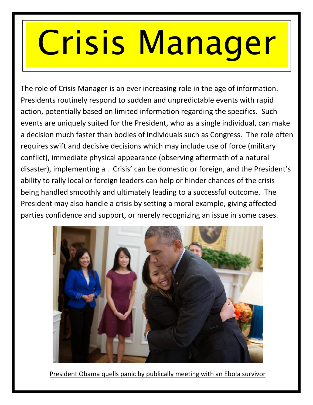## Crisis Manager

The role of Crisis Manager is an ever increasing role in the age of information. Presidents routinely respond to sudden and unpredictable events with rapid action, potentially based on limited information regarding the specifics. Such events are uniquely suited for the President, who as a single individual, can make a decision much faster than bodies of individuals such as Congress. The role often requires swift and decisive decisions which may include use of force (military conflict), immediate physical appearance (observing aftermath of a natural disaster), implementing a . Crisis' can be domestic or foreign, and the President's ability to rally local or foreign leaders can help or hinder chances of the crisis being handled smoothly and ultimately leading to a successful outcome. The President may also handle a crisis by setting a moral example, giving affected parties confidence and support, or merely recognizing an issue in some cases.



President Obama quells panic by publically meeting with an Ebola survivor